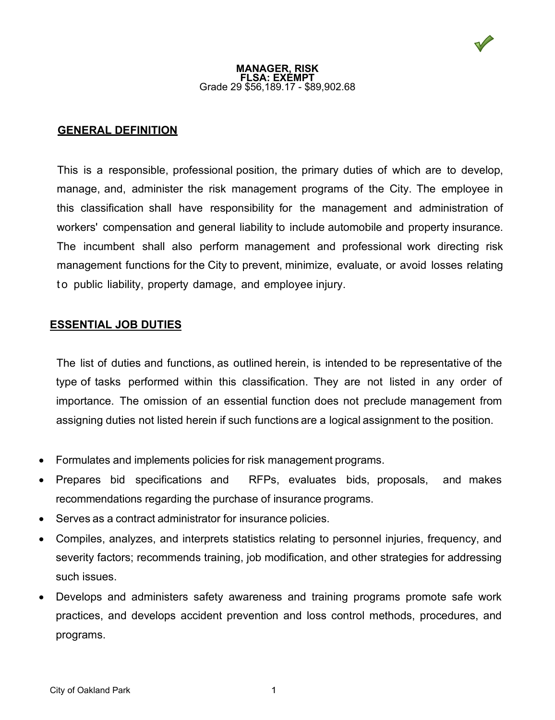### **MANAGER, RISK FLSA: EXEMPT** Grade 29 \$56,189.17 - \$89,902.68

# **GENERAL DEFINITION**

This is a responsible, professional position, the primary duties of which are to develop, manage, and, administer the risk management programs of the City. The employee in this classification shall have responsibility for the management and administration of workers' compensation and general liability to include automobile and property insurance. The incumbent shall also perform management and professional work directing risk management functions for the City to prevent, minimize, evaluate, or avoid losses relating to public liability, property damage, and employee injury.

## **ESSENTIAL JOB DUTIES**

The list of duties and functions, as outlined herein, is intended to be representative of the type of tasks performed within this classification. They are not listed in any order of importance. The omission of an essential function does not preclude management from assigning duties not listed herein if such functions are a logical assignment to the position.

- Formulates and implements policies for risk management programs.
- Prepares bid specifications and RFPs, evaluates bids, proposals, and makes recommendations regarding the purchase of insurance programs.
- Serves as a contract administrator for insurance policies.
- Compiles, analyzes, and interprets statistics relating to personnel injuries, frequency, and severity factors; recommends training, job modification, and other strategies for addressing such issues.
- Develops and administers safety awareness and training programs promote safe work practices, and develops accident prevention and loss control methods, procedures, and programs.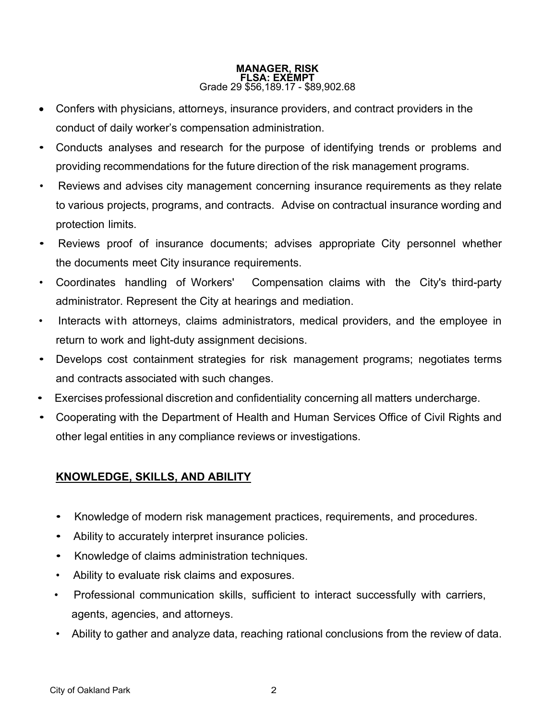### **MANAGER, RISK FLSA: EXEMPT** Grade 29 \$56,189.17 - \$89,902.68

- Confers with physicians, attorneys, insurance providers, and contract providers in the conduct of daily worker's compensation administration.
- Conducts analyses and research for the purpose of identifying trends or problems and providing recommendations for the future direction of the risk management programs.
- Reviews and advises city management concerning insurance requirements as they relate to various projects, programs, and contracts. Advise on contractual insurance wording and protection limits.
- Reviews proof of insurance documents; advises appropriate City personnel whether the documents meet City insurance requirements.
- Coordinates handling of Workers' Compensation claims with the City's third-party administrator. Represent the City at hearings and mediation.
- Interacts with attorneys, claims administrators, medical providers, and the employee in return to work and light-duty assignment decisions.
- Develops cost containment strategies for risk management programs; negotiates terms and contracts associated with such changes.
- Exercises professional discretion and confidentiality concerning all matters undercharge.
- Cooperating with the Department of Health and Human Services Office of Civil Rights and other legal entities in any compliance reviews or investigations.

# **KNOWLEDGE, SKILLS, AND ABILITY**

- Knowledge of modern risk management practices, requirements, and procedures.
- Ability to accurately interpret insurance policies.
- Knowledge of claims administration techniques.
- Ability to evaluate risk claims and exposures.
- Professional communication skills, sufficient to interact successfully with carriers, agents, agencies, and attorneys.
- Ability to gather and analyze data, reaching rational conclusions from the review of data.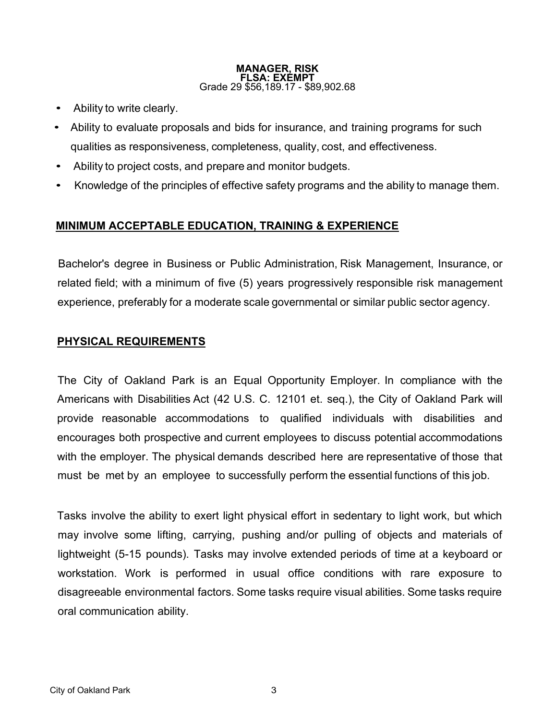### **MANAGER, RISK FLSA: EXEMPT** Grade 29 \$56,189.17 - \$89,902.68

- Ability to write clearly.
- Ability to evaluate proposals and bids for insurance, and training programs for such qualities as responsiveness, completeness, quality, cost, and effectiveness.
- Ability to project costs, and prepare and monitor budgets.
- Knowledge of the principles of effective safety programs and the ability to manage them.

# **MINIMUM ACCEPTABLE EDUCATION, TRAINING & EXPERIENCE**

Bachelor's degree in Business or Public Administration, Risk Management, Insurance, or related field; with a minimum of five (5) years progressively responsible risk management experience, preferably for a moderate scale governmental or similar public sector agency.

# **PHYSICAL REQUIREMENTS**

The City of Oakland Park is an Equal Opportunity Employer. In compliance with the Americans with Disabilities Act (42 U.S. C. 12101 et. seq.), the City of Oakland Park will provide reasonable accommodations to qualified individuals with disabilities and encourages both prospective and current employees to discuss potential accommodations with the employer. The physical demands described here are representative of those that must be met by an employee to successfully perform the essential functions of this job.

Tasks involve the ability to exert light physical effort in sedentary to light work, but which may involve some lifting, carrying, pushing and/or pulling of objects and materials of lightweight (5-15 pounds). Tasks may involve extended periods of time at a keyboard or workstation. Work is performed in usual office conditions with rare exposure to disagreeable environmental factors. Some tasks require visual abilities. Some tasks require oral communication ability.